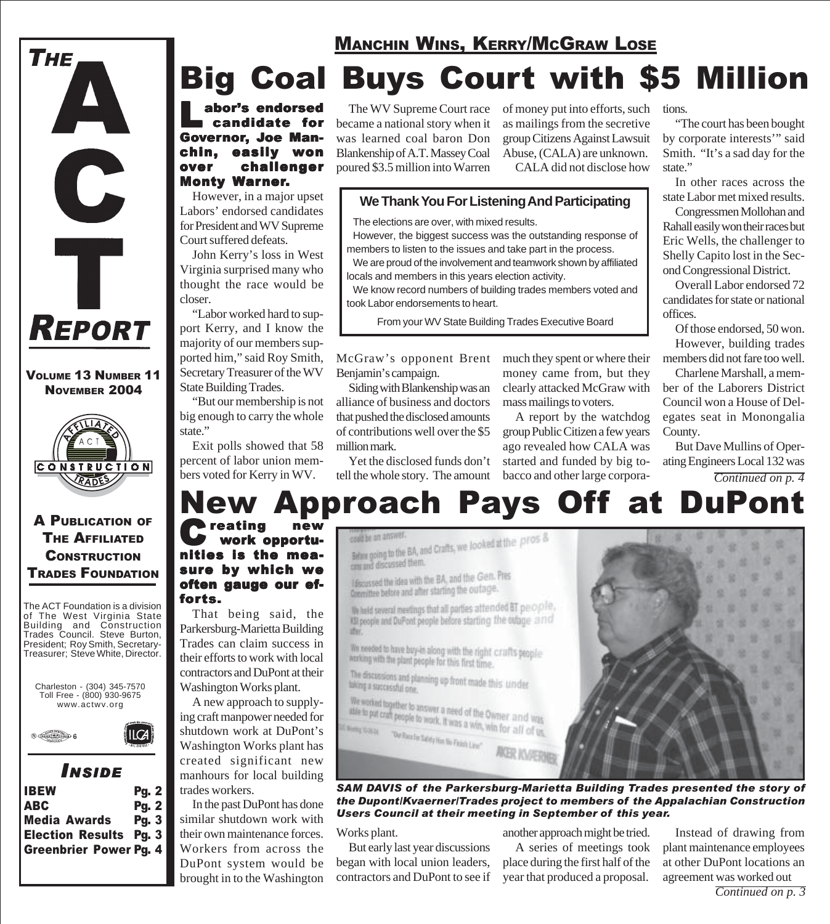

#### VOLUME 13 NUMBER 11 NOVEMBER 2004



### A PUBLICATION OF THE AFFILIATED **CONSTRUCTION** TRADES FOUNDATION

The ACT Foundation is a division of The West Virginia State Building and Construction Trades Council. Steve Burton, President; Roy Smith, Secretary-Treasurer; Steve White, Director.





| <b>IBEW</b>                   | Pg. 2 |
|-------------------------------|-------|
| <b>ABC</b>                    | Pg. 2 |
| <b>Media Awards</b>           | Pq.3  |
| <b>Election Results Pg. 3</b> |       |
| <b>Greenbrier Power Pg. 4</b> |       |
|                               |       |

### MANCHIN WINS, KERRY/MCGRAW LOSE

## Big Coal Buys Court with \$5 Million

**We Thank You For Listening And Participating**

However, the biggest success was the outstanding response of members to listen to the issues and take part in the process. We are proud of the involvement and teamwork shown by affiliated

We know record numbers of building trades members voted and

From your WV State Building Trades Executive Board

Labor's endorsed candidate for Governor, Joe Manchin, easily won over challenger Monty Warner.

However, in a major upset Labors' endorsed candidates for President and WV Supreme Court suffered defeats.

John Kerry's loss in West Virginia surprised many who thought the race would be closer.

"Labor worked hard to support Kerry, and I know the majority of our members supported him," said Roy Smith, Secretary Treasurer of the WV State Building Trades.

"But our membership is not big enough to carry the whole state."

Exit polls showed that 58 percent of labor union members voted for Kerry in WV.

The WV Supreme Court race became a national story when it was learned coal baron Don Blankenship of A.T. Massey Coal poured \$3.5 million into Warren

The elections are over, with mixed results.

locals and members in this years election activity.

of money put into efforts, such as mailings from the secretive group Citizens Against Lawsuit Abuse, (CALA) are unknown. CALA did not disclose how

much they spent or where their money came from, but they clearly attacked McGraw with

A report by the watchdog group Public Citizen a few years ago revealed how CALA was started and funded by big tobacco and other large corpora-

mass mailings to voters.

#### tions.

"The court has been bought by corporate interests'" said Smith. "It's a sad day for the state."

In other races across the state Labor met mixed results.

Congressmen Mollohan and Rahall easily won their races but Eric Wells, the challenger to Shelly Capito lost in the Second Congressional District.

Overall Labor endorsed 72 candidates for state or national offices.

Of those endorsed, 50 won. However, building trades members did not fare too well.

Charlene Marshall, a member of the Laborers District Council won a House of Delegates seat in Monongalia County.

But Dave Mullins of Operating Engineers Local 132 was *Continued on p. 4*

#### McGraw's opponent Brent Benjamin's campaign.

took Labor endorsements to heart.

Siding with Blankenship was an alliance of business and doctors that pushed the disclosed amounts of contributions well over the \$5 million mark.

Yet the disclosed funds don't tell the whole story. The amount

could be am answer.

# **Approach Pays Off at DuPont**

Creating new nities is the measure by which we often gauge our efforts.

That being said, the Parkersburg-Marietta Building Trades can claim success in their efforts to work with local contractors and DuPont at their Washington Works plant.

A new approach to supplying craft manpower needed for shutdown work at DuPont's Washington Works plant has created significant new manhours for local building trades workers.

In the past DuPont has done similar shutdown work with their own maintenance forces. Workers from across the DuPont system would be brought in to the Washington could be an answer.<br>Belaw going to the BA, and Crafts, we looked at the pros & can and discussed them. lascussed the idea with the BA, and the Gen. Pres theoussed the loea will aller starting the outage.

We held several meetings that all parties attended BT people, ISI people and DuPont people before starting the outage and

abit. We needed to have buy-in along with the right crafts people working with the plant people for this first time.

The discussions and planning up front made this under taking a successful one.

We worked together to answer a need of the Owner and was we worked together to answer a need of the Owner and was<br>able to put craft people to work. It was a win, win for all of us, **Meng tional** "Our Race for future the Finish Line"



*SAM DAVIS of the Parkersburg-Marietta Building Trades presented the story of the Dupont/Kvaerner/Trades project to members of the Appalachian Construction Users Council at their meeting in September of this year.*

#### Works plant.

But early last year discussions began with local union leaders, contractors and DuPont to see if another approach might be tried.

A series of meetings took place during the first half of the year that produced a proposal.

Instead of drawing from plant maintenance employees at other DuPont locations an agreement was worked out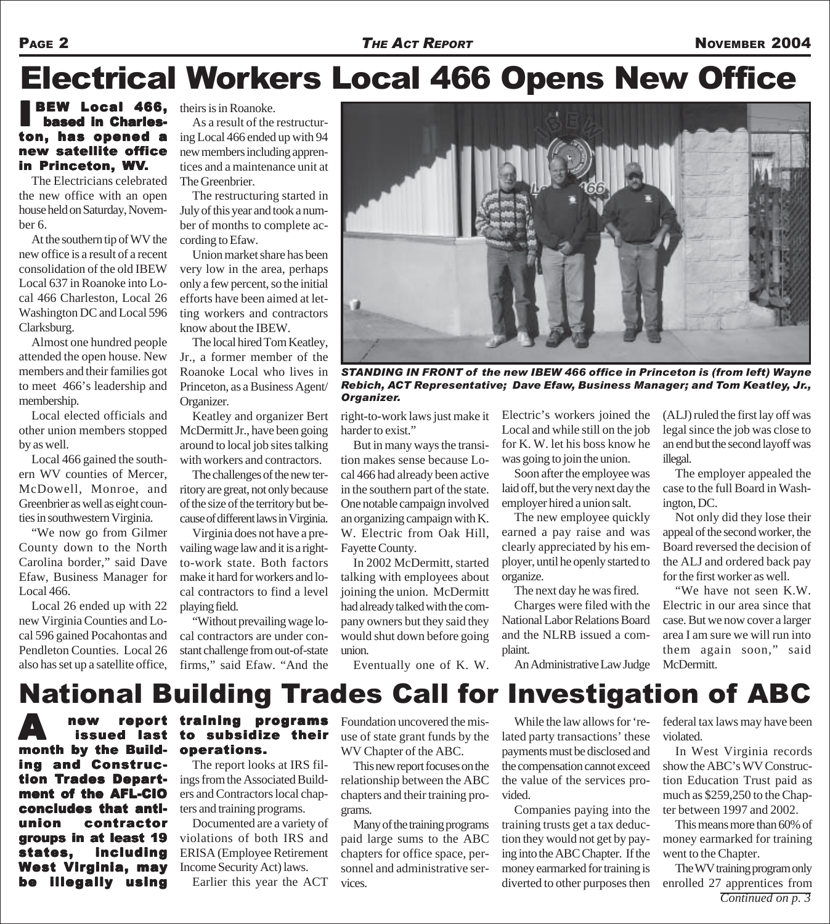### Electrical Workers Local 466 Opens New Office

#### BEW Local 466, based in Charleston, has opened a new satellite office in Princeton, WV.

The Electricians celebrated the new office with an open house held on Saturday, November 6.

At the southern tip of WV the new office is a result of a recent consolidation of the old IBEW Local 637 in Roanoke into Local 466 Charleston, Local 26 Washington DC and Local 596 Clarksburg.

Almost one hundred people attended the open house. New members and their families got to meet 466's leadership and membership.

Local elected officials and other union members stopped by as well.

Local 466 gained the southern WV counties of Mercer, McDowell, Monroe, and Greenbrier as well as eight counties in southwestern Virginia.

"We now go from Gilmer County down to the North Carolina border," said Dave Efaw, Business Manager for Local 466.

Local 26 ended up with 22 new Virginia Counties and Local 596 gained Pocahontas and Pendleton Counties. Local 26 also has set up a satellite office, theirs is in Roanoke.

As a result of the restructuring Local 466 ended up with 94 new members including apprentices and a maintenance unit at The Greenbrier.

The restructuring started in July of this year and took a number of months to complete according to Efaw.

Union market share has been very low in the area, perhaps only a few percent, so the initial efforts have been aimed at letting workers and contractors know about the IBEW.

The local hired Tom Keatley, Jr., a former member of the Roanoke Local who lives in Princeton, as a Business Agent/ Organizer.

Keatley and organizer Bert McDermitt Jr., have been going around to local job sites talking with workers and contractors.

The challenges of the new territory are great, not only because of the size of the territory but because of different laws in Virginia.

Virginia does not have a prevailing wage law and it is a rightto-work state. Both factors make it hard for workers and local contractors to find a level playing field.

"Without prevailing wage local contractors are under constant challenge from out-of-state firms," said Efaw. "And the



*STANDING IN FRONT of the new IBEW 466 office in Princeton is (from left) Wayne Rebich, ACT Representative; Dave Efaw, Business Manager; and Tom Keatley, Jr., Organizer.*

harder to exist."

But in many ways the transition makes sense because Local 466 had already been active in the southern part of the state. One notable campaign involved an organizing campaign with K. W. Electric from Oak Hill, Fayette County.

In 2002 McDermitt, started talking with employees about joining the union. McDermitt had already talked with the company owners but they said they would shut down before going union.

Eventually one of K. W.

right-to-work laws just make it Electric's workers joined the Local and while still on the job for K. W. let his boss know he was going to join the union.

> Soon after the employee was laid off, but the very next day the employer hired a union salt.

> The new employee quickly earned a pay raise and was clearly appreciated by his employer, until he openly started to organize.

The next day he was fired.

Charges were filed with the National Labor Relations Board and the NLRB issued a complaint.

(ALJ) ruled the first lay off was legal since the job was close to an end but the second layoff was illegal.

The employer appealed the case to the full Board in Washington, DC.

Not only did they lose their appeal of the second worker, the Board reversed the decision of the ALJ and ordered back pay for the first worker as well.

"We have not seen K.W. Electric in our area since that case. But we now cover a larger area I am sure we will run into them again soon," said McDermitt.

An Administrative Law Judge

## National Building Trades Call for Investigation of ABC

A new report<br>
issued last<br>
in the new month by the Build- month by the Building and Construction Trades Department of the AFL-CIO concludes that antiunion contractor groups in at least 19 es, including West Virginia, may be illegally using

#### report training programs to subsidize their operations.

The report looks at IRS filings from the Associated Builders and Contractors local chapters and training programs.

Documented are a variety of violations of both IRS and ERISA (Employee Retirement Income Security Act) laws.

Earlier this year the ACT

Foundation uncovered the misuse of state grant funds by the WV Chapter of the ABC.

This new report focuses on the relationship between the ABC chapters and their training programs.

Many of the training programs paid large sums to the ABC chapters for office space, personnel and administrative services.

While the law allows for 'related party transactions' these payments must be disclosed and the compensation cannot exceed the value of the services provided.

Companies paying into the training trusts get a tax deduction they would not get by paying into the ABC Chapter. If the money earmarked for training is diverted to other purposes then

federal tax laws may have been violated.

In West Virginia records show the ABC's WV Construction Education Trust paid as much as \$259,250 to the Chapter between 1997 and 2002.

This means more than 60% of money earmarked for training went to the Chapter.

The WV training program only enrolled 27 apprentices from *Continued on p. 3*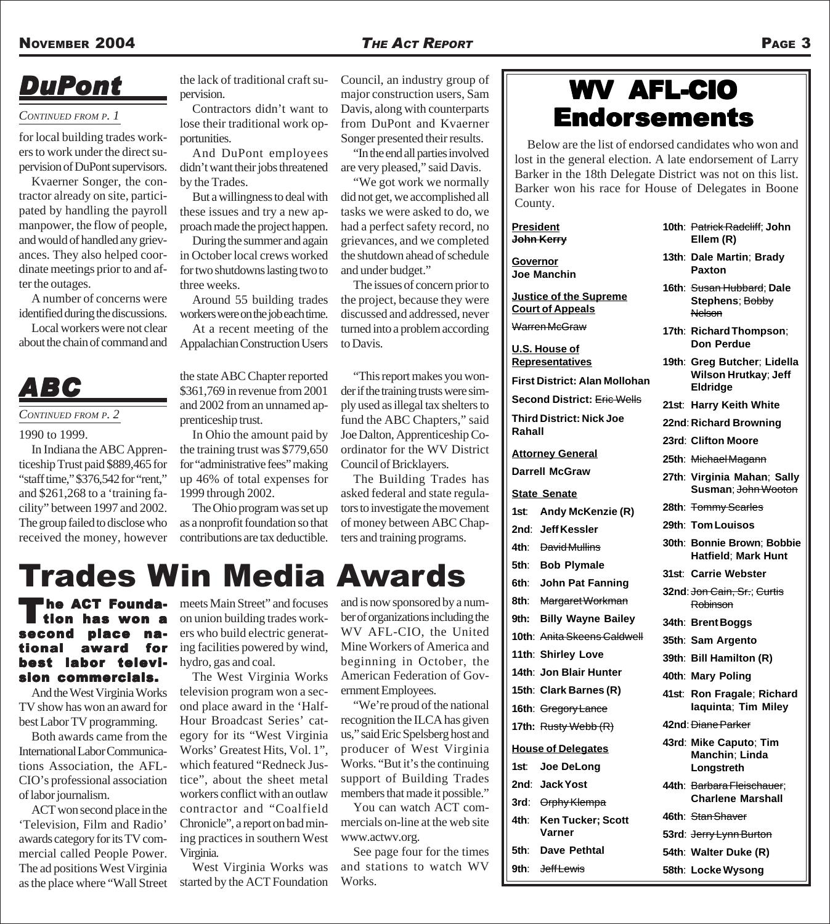#### *CONTINUED FROM P. 1*

for local building trades workers to work under the direct supervision of DuPont supervisors.

Kvaerner Songer, the contractor already on site, participated by handling the payroll manpower, the flow of people, and would of handled any grievances. They also helped coordinate meetings prior to and after the outages.

A number of concerns were identified during the discussions.

Local workers were not clear about the chain of command and

### *ABC*

#### *CONTINUED FROM P. 2*

1990 to 1999.

In Indiana the ABC Apprenticeship Trust paid \$889,465 for "staff time," \$376,542 for "rent," and \$261,268 to a 'training facility" between 1997 and 2002. The group failed to disclose who received the money, however

**DuPont** the lack of traditional craft supervision.

Contractors didn't want to lose their traditional work opportunities.

And DuPont employees didn't want their jobs threatened by the Trades.

But a willingness to deal with these issues and try a new approach made the project happen.

During the summer and again in October local crews worked for two shutdowns lasting two to three weeks.

Around 55 building trades workers were on the job each time.

At a recent meeting of the Appalachian Construction Users

the state ABC Chapter reported \$361,769 in revenue from 2001 and 2002 from an unnamed apprenticeship trust.

In Ohio the amount paid by the training trust was \$779,650 for "administrative fees" making up 46% of total expenses for 1999 through 2002.

The Ohio program was set up as a nonprofit foundation so that contributions are tax deductible.

Council, an industry group of major construction users, Sam Davis, along with counterparts from DuPont and Kvaerner Songer presented their results.

"In the end all parties involved are very pleased," said Davis.

"We got work we normally did not get, we accomplished all tasks we were asked to do, we had a perfect safety record, no grievances, and we completed the shutdown ahead of schedule and under budget."

The issues of concern prior to the project, because they were discussed and addressed, never turned into a problem according to Davis.

"This report makes you wonder if the training trusts were simply used as illegal tax shelters to fund the ABC Chapters," said Joe Dalton, Apprenticeship Coordinator for the WV District Council of Bricklayers.

The Building Trades has asked federal and state regulators to investigate the movement of money between ABC Chapters and training programs.

## Trades Win Media Awards

#### he ACT Founda-<br>lion has won a<br>ond place nahas won second place tional award for best labor television commercials.

And the West Virginia Works TV show has won an award for best Labor TV programming.

Both awards came from the International Labor Communications Association, the AFL-CIO's professional association of labor journalism.

ACT won second place in the 'Television, Film and Radio' awards category for its TV commercial called People Power. The ad positions West Virginia as the place where "Wall Street meets Main Street" and focuses on union building trades workers who build electric generating facilities powered by wind, hydro, gas and coal.

The West Virginia Works television program won a second place award in the 'Half-Hour Broadcast Series' category for its "West Virginia Works' Greatest Hits, Vol. 1", which featured "Redneck Justice", about the sheet metal workers conflict with an outlaw contractor and "Coalfield Chronicle", a report on bad mining practices in southern West Virginia.

West Virginia Works was started by the ACT Foundation

and is now sponsored by a number of organizations including the WV AFL-CIO, the United Mine Workers of America and beginning in October, the American Federation of Government Employees.

"We're proud of the national recognition the ILCA has given us," said Eric Spelsberg host and producer of West Virginia Works. "But it's the continuing support of Building Trades members that made it possible."

You can watch ACT commercials on-line at the web site www.actwv.org.

See page four for the times and stations to watch WV Works.

### WV AFL-CIO **Endorsements**

Below are the list of endorsed candidates who won and lost in the general election. A late endorsement of Larry Barker in the 18th Delegate District was not on this list. Barker won his race for House of Delegates in Boone County.

**President John Kerry**

**Governor Joe Manchin**

**Justice of the Supreme Court of Appeals**

Warren McGraw

**U.S. House of Representatives**

**First District: Alan Mollohan Second District:** Eric Wells **Third District: Nick Joe**

**Rahall**

**Attorney General**

**Darrell McGraw**

**State Senate**

- **1st**: **Andy McKenzie (R)**
- **2nd**: **Jeff Kessler 4th**: David Mullins
- **5th**: **Bob Plymale**
- **6th**: **John Pat Fanning**
- **8th**: Margaret Workman
- **9th: Billy Wayne Bailey**
- **10th**: Anita Skeens Caldwell
- **11th**: **Shirley Love**
- **14th**: **Jon Blair Hunter**
- **15th**: **Clark Barnes (R)**
- **16th**: Gregory Lance
- **17th:** Rusty Webb (R)

**House of Delegates**

- **1st**: **Joe DeLong**
- **2nd**: **Jack Yost**
- **3rd**: Orphy Klempa
- **4th**: **Ken Tucker; Scott Varner**

**5th**: **Dave Pethtal**

**9th**: Jeff Lewis

| 10th: Patrick Radcliff; John |
|------------------------------|
| Ellem (R)                    |

- **13th**: **Dale Martin**; **Brady Paxton**
- **16th**: Susan Hubbard; **Dale Stephens**; Bobby **Nelson**
- **17th**: **Richard Thompson**; **Don Perdue**
- **19th**: **Greg Butcher**; **Lidella Wilson Hrutkay**; **Jeff Eldridge**
- **21st**: **Harry Keith White**
- **22nd**: **Richard Browning**
- **23rd**: **Clifton Moore**
- **25th**: Michael Magann
- **27th**: **Virginia Mahan**; **Sally Susman**; John Wooton
- **28th**: Tommy Scarles
- **29th**: **Tom Louisos**
- **30th**: **Bonnie Brown**; **Bobbie Hatfield**; **Mark Hunt**
- **31st**: **Carrie Webster**
- **32nd**: Jon Cain, Sr.; Curtis Robinson
- **34th**: **Brent Boggs**
- **35th**: **Sam Argento**
- **39th**: **Bill Hamilton (R)**
- **40th**: **Mary Poling**
- **41st**: **Ron Fragale**; **Richard Iaquinta**; **Tim Miley**
- **42nd**: Diane Parker
	- **43rd**: **Mike Caputo**; **Tim Manchin**; **Linda Longstreth**
	- **44th**: Barbara Fleischauer; **Charlene Marshall**
- **46th**: Stan Shaver
- **53rd**: Jerry Lynn Burton
- **54th**: **Walter Duke (R)**
- **58th**: **Locke Wysong**